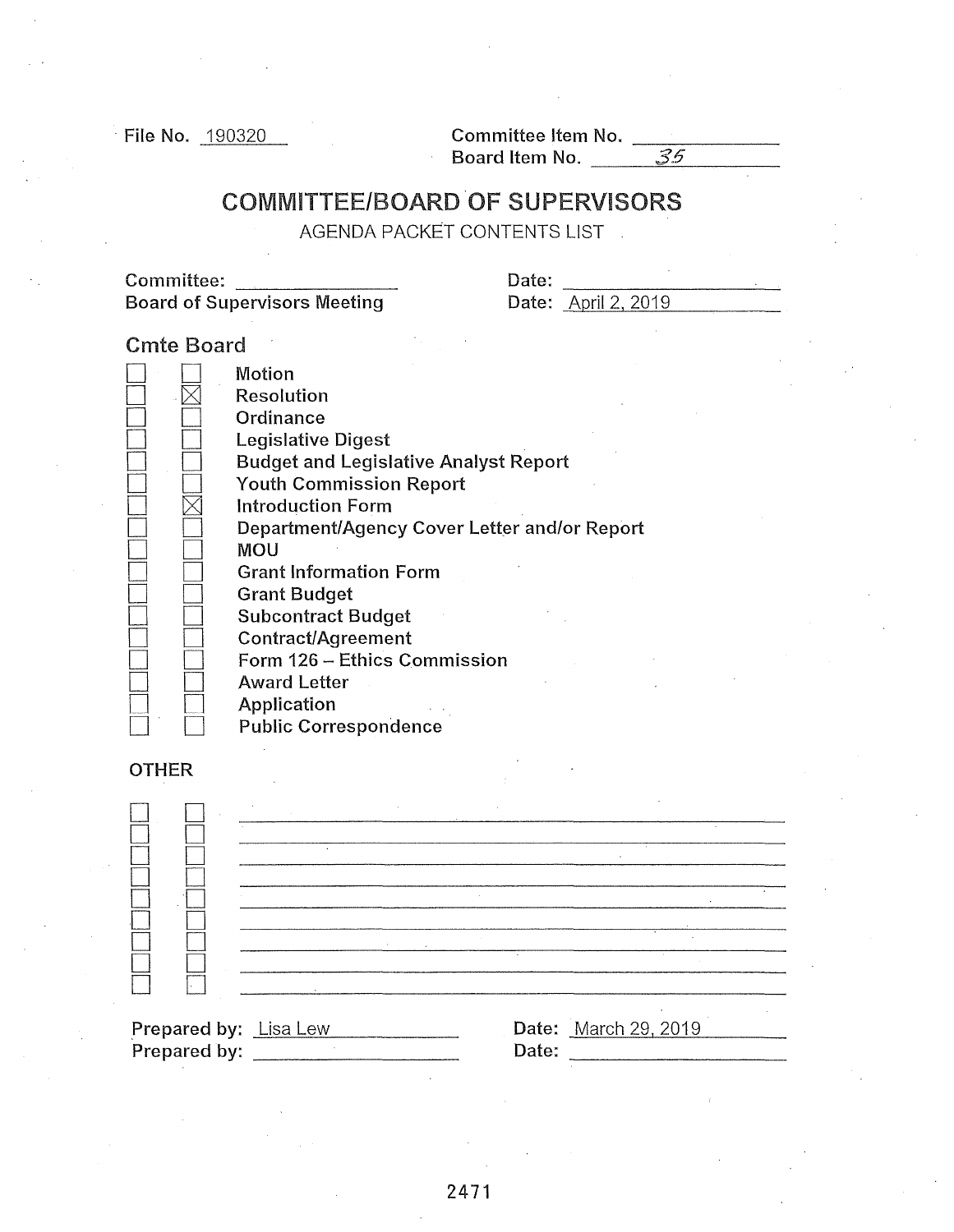$\frac{190320}{\text{File No.}}$  190320 Committee Item No.  $\frac{35}{\text{Borel}}$ 

## COMMITTEE/BOARD OF SUPERVISORS

AGENDA PACKET CONTENTS LIST

Committee: Date: ------- -----------' Board of Supervisors Meeting

| Date: |                            |
|-------|----------------------------|
|       | <b>Date:</b> April 2, 2019 |

## Cmte Board

|              | Motion<br>Resolution<br>Ordinance<br>Legislative Digest<br><b>Budget and Legislative Analyst Report</b>                                                                                                                                                                                                                                   |
|--------------|-------------------------------------------------------------------------------------------------------------------------------------------------------------------------------------------------------------------------------------------------------------------------------------------------------------------------------------------|
|              | <b>Youth Commission Report</b><br><b>Introduction Form</b><br>Department/Agency Cover Letter and/or Report<br>MOU<br><b>Grant Information Form</b><br><b>Grant Budget</b><br><b>Subcontract Budget</b><br><b>Contract/Agreement</b><br>Form 126 - Ethics Commission<br><b>Award Letter</b><br>Application<br><b>Public Correspondence</b> |
| <b>OTHER</b> |                                                                                                                                                                                                                                                                                                                                           |
|              |                                                                                                                                                                                                                                                                                                                                           |
|              |                                                                                                                                                                                                                                                                                                                                           |

| <b>Prepared by:</b> Lisa Lew |             | <b>Date:</b> March 29, 2019 |  |
|------------------------------|-------------|-----------------------------|--|
| Duamowo di Luci              | $D - 4 - 1$ |                             |  |

| <b>Prepared by:</b> Lisa Lew |       | <b>Date:</b> March 29, 2019 |  |
|------------------------------|-------|-----------------------------|--|
| Prepared by:                 | Date: |                             |  |
|                              |       |                             |  |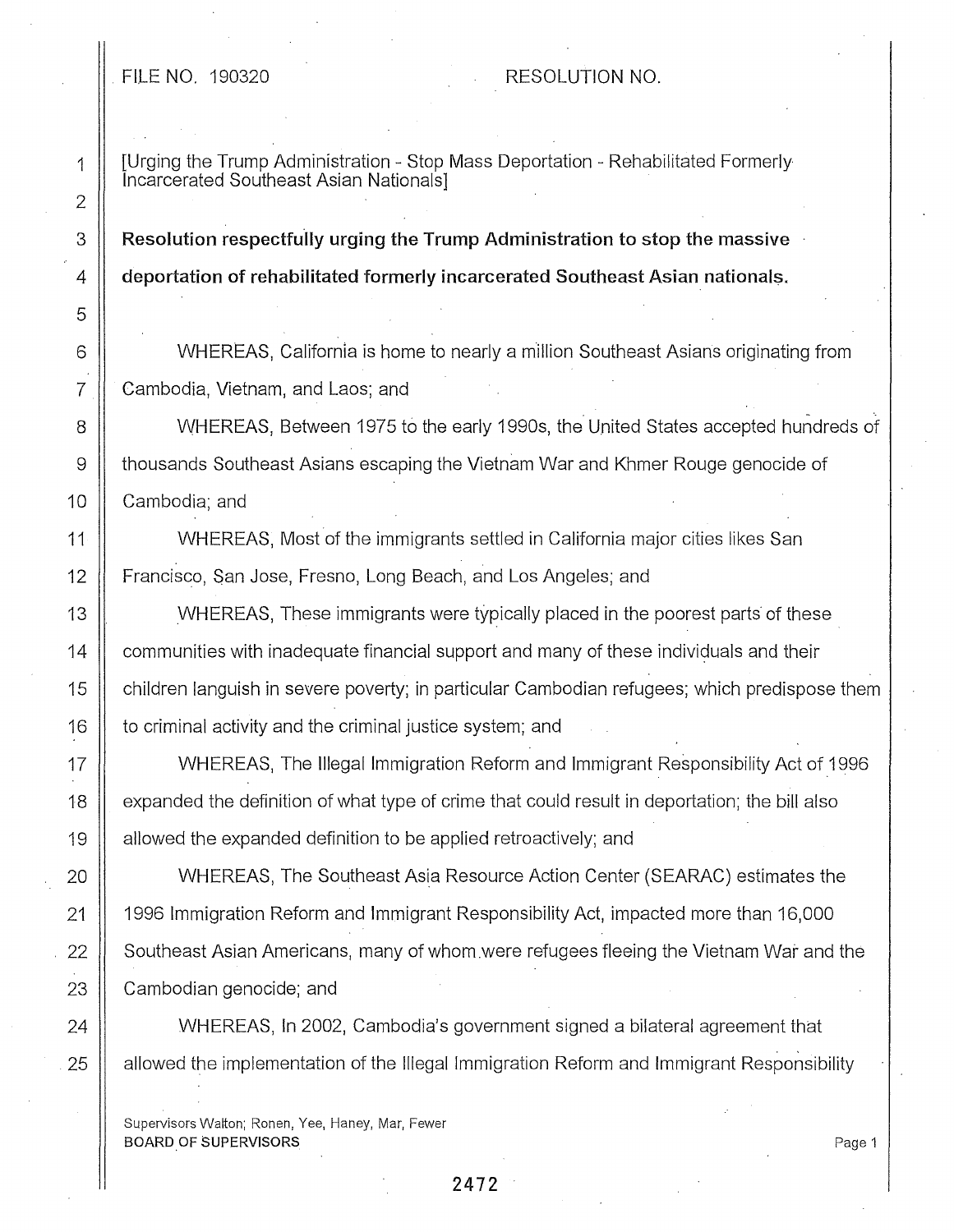## FILE NO. 190320 RESOLUTION NO.

1 [Urging the Trump Administration - Stop Mass Deportation - Rehabilitated Formerly Incarcerated Southeast Asian Nationals]

3 **Resolution respectfully urging the Trump Administration to stop the massive** 4 **deportation of rehabilitated formerly incarcerated Southeast Asian national\$.** 

6 WHEREAS, California is home to nearly a million Southeast Asians originating from 7 || Cambodia, Vietnam, and Laos; and

8  $\parallel$  WHEREAS, Between 1975 to the early 1990s, the United States accepted hundreds of 9 thousands Southeast Asians escaping the Vietnam War and Khmer Rouge genocide of 10 | Cambodia; and

11 WHEREAS, Most of the immigrants settled in California major cities likes San 12 | Francisco, San Jose, Fresno, Long Beach, and Los Angeles; and

13 WHEREAS, These immigrants were typically placed in the poorest parts of these 14  $\parallel$  communities with inadequate financial support and many of these individuals and their 15 | children languish in severe poverty; in particular Cambodian refugees; which predispose them 16 | to criminal activity and the criminal justice system; and

17 | WHEREAS, The Illegal Immigration Reform and Immigrant Responsibility Act of 1996 18 | expanded the definition of what type of crime that could result in deportation; the bill also 19 | allowed the expanded definition to be applied retroactively; and

20 WHEREAS, The Southeast Asia Resource Action Center (SEARAC) estimates the 21 1996 Immigration Reform and Immigrant Responsibility Act, impacted more than 16,000 22 Southeast Asian Americans, many of whom were refugees fleeing the Vietnam War and the  $23$   $\parallel$  Cambodian genocide; and

24 WHEREAS, In 2002, Cambodia's government signed a bilateral agreement that 25 | allowed the implementation of the Illegal Immigration Reform and Immigrant Responsibility

Supervisors Walton; Ronen, Yee, Haney, Mar, Fewer BOARD OF SUPERVISORS

**2472** 

Page 1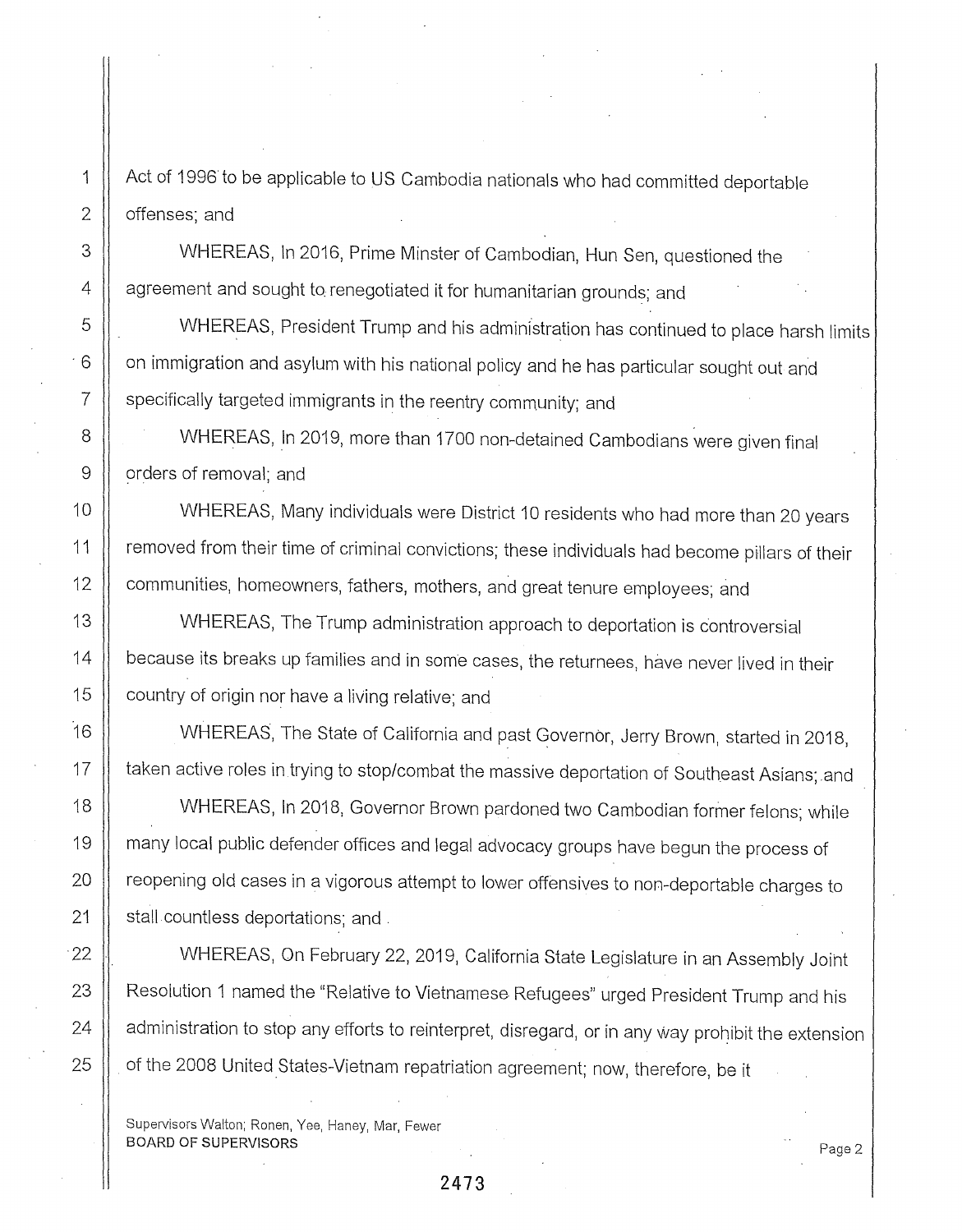1 Act of 1996 to be applicable to US Cambodia nationals who had committed deportable  $2 \parallel$  offenses; and

3 WHEREAS, In 2016, Prime Minster of Cambodian, Hun Sen, questioned the  $4 \parallel$  agreement and sought to renegotiated it for humanitarian grounds; and

5  $\parallel$  WHEREAS, President Trump and his administration has continued to place harsh limits  $6$  |  $\,$  on immigration and asylum with his national policy and he has particular sought out and 7 | specifically targeted immigrants in the reentry community; and

8 | WHEREAS, In 2019, more than 1700 non-detained Cambodians were given final 9 | orders of removal; and

10 WHEREAS, Many individuals were District 10 residents who had more than 20 years 11 | removed from their time of criminal convictions; these individuals had become pillars of their 12 | communities, homeowners, fathers, mothers, and great tenure employees; and

13 WHEREAS, The Trump administration approach to deportation is controversial 14 | because its breaks up families and in some cases, the returnees, have never lived in their 15  $\parallel$  country of origin nor have a living relative; and

16 WHEREAS, The State of California and past Governor, Jerry Brown, started in 2018, 17 | taken active roles in trying to stop/combat the massive deportation of Southeast Asians; and

18 WHEREAS, In 2018, Governor Brown pardoned two Cambodian former felons; while 19 | many local public defender offices and legal advocacy groups have begun the process of 20 | reopening old cases in a vigorous attempt to lower offensives to non-deportable charges to 21 | stall countless deportations; and .

22 || WHEREAS, On February 22, 2019, California State Legislature in an Assembly Joint 23 | Resolution 1 named the "Relative to Vietnamese Refugees" urged President Trump and his 24  $\, \parallel\,$  administration to stop any efforts to reinterpret, disregard, or in any way prohibit the extension 25  $\, \parallel \,$  of the 2008 United States-Vietnam repatriation agreement; now, therefore, be it

Supervisors Walton; Ronen, Yee, Haney, Mar, Fewer BOARD OF SUPERVISORS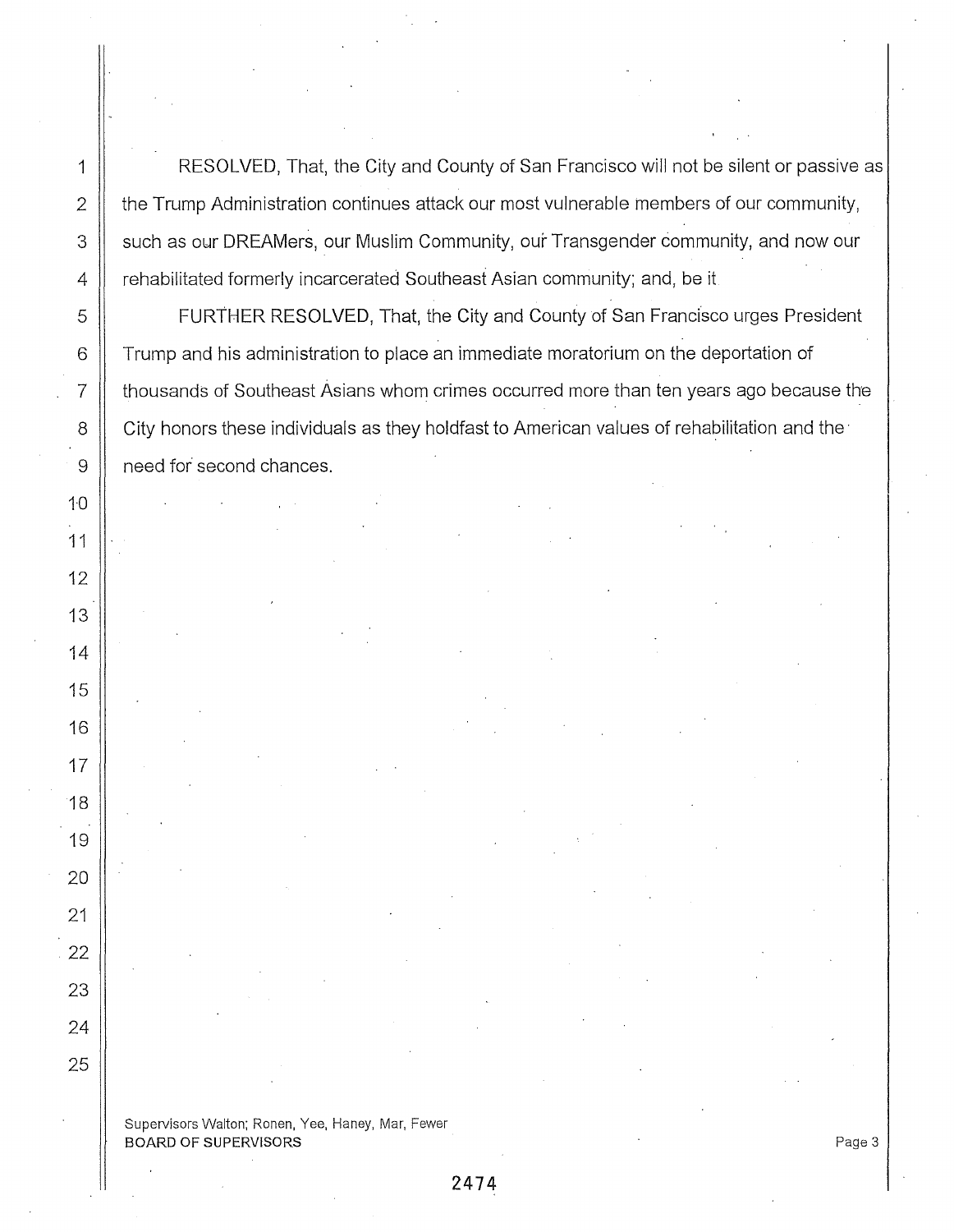1 | RESOLVED, That, the City and County of San Francisco will not be silent or passive as  $\parallel$  the Trump Administration continues attack our most vulnerable members of our community, 3 Such as our DREAMers, our Muslim Community, our Transgender community, and now our 4 | rehabilitated formerly incarcerated Southeast Asian community; and, be it 5 FURTHER **RESOLVED,** That, the City and County of San Francisco urges President 6 Trump and his administration to place an immediate moratorium on the deportation of 7 thousands of Southeast Asians whom crimes occurred more than ten years ago because the 8 | City honors these individuals as they holdfast to American values of rehabilitation and the

Supervisors Walton; Ronen, Yee, Haney, Mar, Fewer BOARD OF SUPERVISORS And the state of the state of the state of the state of the state of the state of the state of the state of the state of the state of the state of the state of the state of the state of the state of th

9 | need for second chances.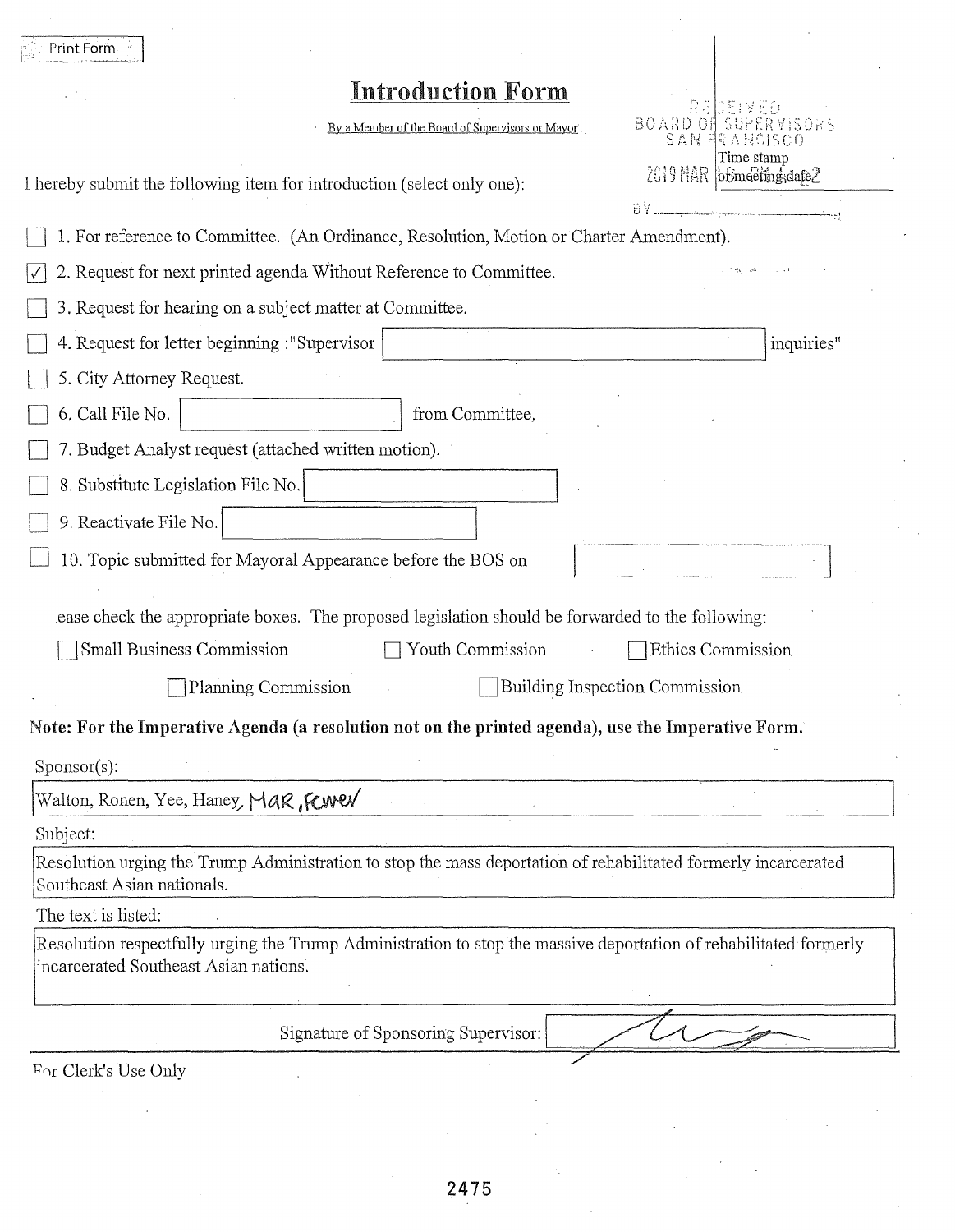| Print Form                                                                                                                                                 |                                               |
|------------------------------------------------------------------------------------------------------------------------------------------------------------|-----------------------------------------------|
| <b>Introduction Form</b>                                                                                                                                   |                                               |
| By a Member of the Board of Supervisors or Mayor                                                                                                           | 80 Y 30 0<br>SAN                              |
| I hereby submit the following item for introduction (select only one):                                                                                     | Time stamp<br>2019 MAR bEmeeting, date2<br>ĐΥ |
| 1. For reference to Committee. (An Ordinance, Resolution, Motion or Charter Amendment).                                                                    |                                               |
| 2. Request for next printed agenda Without Reference to Committee.                                                                                         |                                               |
| 3. Request for hearing on a subject matter at Committee.                                                                                                   |                                               |
| 4. Request for letter beginning : "Supervisor                                                                                                              | inquiries"                                    |
| 5. City Attorney Request.                                                                                                                                  |                                               |
| 6. Call File No.<br>from Committee.                                                                                                                        |                                               |
| 7. Budget Analyst request (attached written motion).                                                                                                       |                                               |
| 8. Substitute Legislation File No.                                                                                                                         |                                               |
| 9. Reactivate File No.                                                                                                                                     |                                               |
| 10. Topic submitted for Mayoral Appearance before the BOS on                                                                                               |                                               |
|                                                                                                                                                            |                                               |
| ease check the appropriate boxes. The proposed legislation should be forwarded to the following:                                                           |                                               |
| Small Business Commission<br>Youth Commission                                                                                                              | Ethics Commission                             |
| Planning Commission                                                                                                                                        | <b>Building Inspection Commission</b>         |
| Note: For the Imperative Agenda (a resolution not on the printed agenda), use the Imperative Form.                                                         |                                               |
| $Sponsor(s)$ :                                                                                                                                             |                                               |
| Walton, Ronen, Yee, Haney, Mak, Kwel                                                                                                                       |                                               |
| Subject:                                                                                                                                                   |                                               |
| Resolution urging the Trump Administration to stop the mass deportation of rehabilitated formerly incarcerated<br>Southeast Asian nationals.               |                                               |
| The text is listed:                                                                                                                                        |                                               |
| Resolution respectfully urging the Trump Administration to stop the massive deportation of rehabilitated formerly<br>incarcerated Southeast Asian nations. |                                               |
| Signature of Sponsoring Supervisor:                                                                                                                        |                                               |
| For Clerk's Use Only                                                                                                                                       |                                               |